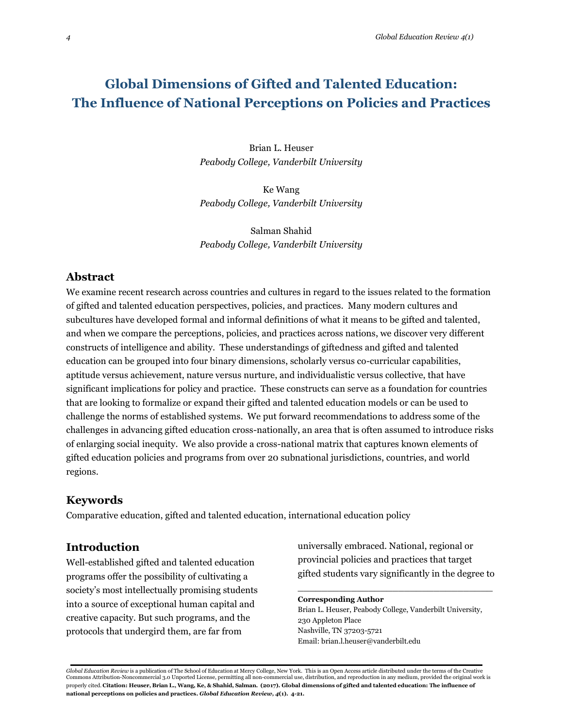# **Global Dimensions of Gifted and Talented Education: The Influence of National Perceptions on Policies and Practices**

Brian L. Heuser *Peabody College, Vanderbilt University*

Ke Wang *Peabody College, Vanderbilt University*

Salman Shahid *Peabody College, Vanderbilt University*

# **Abstract**

We examine recent research across countries and cultures in regard to the issues related to the formation of gifted and talented education perspectives, policies, and practices. Many modern cultures and subcultures have developed formal and informal definitions of what it means to be gifted and talented, and when we compare the perceptions, policies, and practices across nations, we discover very different constructs of intelligence and ability. These understandings of giftedness and gifted and talented education can be grouped into four binary dimensions, scholarly versus co-curricular capabilities, aptitude versus achievement, nature versus nurture, and individualistic versus collective, that have significant implications for policy and practice. These constructs can serve as a foundation for countries that are looking to formalize or expand their gifted and talented education models or can be used to challenge the norms of established systems. We put forward recommendations to address some of the challenges in advancing gifted education cross-nationally, an area that is often assumed to introduce risks of enlarging social inequity. We also provide a cross-national matrix that captures known elements of gifted education policies and programs from over 20 subnational jurisdictions, countries, and world regions.

### **Keywords**

Comparative education, gifted and talented education, international education policy

### **Introduction**

Well-established gifted and talented education programs offer the possibility of cultivating a society's most intellectually promising students into a source of exceptional human capital and creative capacity. But such programs, and the protocols that undergird them, are far from

universally embraced. National, regional or provincial policies and practices that target gifted students vary significantly in the degree to

\_\_\_\_\_\_\_\_\_\_\_\_\_\_\_\_\_\_\_\_\_\_\_\_\_\_\_\_\_\_\_\_\_

#### **Corresponding Author**

Brian L. Heuser, Peabody College, Vanderbilt University, 230 Appleton Place Nashville, TN 37203-5721 Email: brian.l.heuser@vanderbilt.edu

*Global Education Review* is a publication of The School of Education at Mercy College, New York. This is an Open Access article distributed under the terms of the Creative Commons Attribution-Noncommercial 3.0 Unported License, permitting all non-commercial use, distribution, and reproduction in any medium, provided the original work is properly cited. **Citation: Heuser, Brian L., Wang, Ke, & Shahid, Salman. (2017). Global dimensions of gifted and talented education: The influence of national perceptions on policies and practices.** *Global Education Review, 4***(1). 4-21.**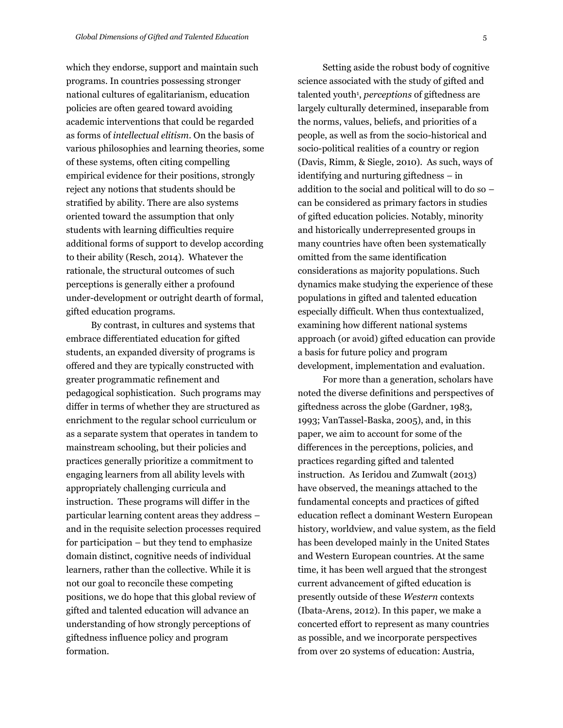which they endorse, support and maintain such programs. In countries possessing stronger national cultures of egalitarianism, education policies are often geared toward avoiding academic interventions that could be regarded as forms of *intellectual elitism*. On the basis of various philosophies and learning theories, some of these systems, often citing compelling empirical evidence for their positions, strongly reject any notions that students should be stratified by ability. There are also systems oriented toward the assumption that only students with learning difficulties require additional forms of support to develop according to their ability (Resch, 2014). Whatever the rationale, the structural outcomes of such perceptions is generally either a profound under-development or outright dearth of formal, gifted education programs.

By contrast, in cultures and systems that embrace differentiated education for gifted students, an expanded diversity of programs is offered and they are typically constructed with greater programmatic refinement and pedagogical sophistication. Such programs may differ in terms of whether they are structured as enrichment to the regular school curriculum or as a separate system that operates in tandem to mainstream schooling, but their policies and practices generally prioritize a commitment to engaging learners from all ability levels with appropriately challenging curricula and instruction. These programs will differ in the particular learning content areas they address – and in the requisite selection processes required for participation – but they tend to emphasize domain distinct, cognitive needs of individual learners, rather than the collective. While it is not our goal to reconcile these competing positions, we do hope that this global review of gifted and talented education will advance an understanding of how strongly perceptions of giftedness influence policy and program formation.

Setting aside the robust body of cognitive science associated with the study of gifted and talented youth<sup>1</sup>, *perceptions* of giftedness are largely culturally determined, inseparable from the norms, values, beliefs, and priorities of a people, as well as from the socio-historical and socio-political realities of a country or region (Davis, Rimm, & Siegle, 2010). As such, ways of identifying and nurturing giftedness – in addition to the social and political will to do so – can be considered as primary factors in studies of gifted education policies. Notably, minority and historically underrepresented groups in many countries have often been systematically omitted from the same identification considerations as majority populations. Such dynamics make studying the experience of these populations in gifted and talented education especially difficult. When thus contextualized, examining how different national systems approach (or avoid) gifted education can provide a basis for future policy and program development, implementation and evaluation.

For more than a generation, scholars have noted the diverse definitions and perspectives of giftedness across the globe (Gardner, 1983, 1993; VanTassel-Baska, 2005), and, in this paper, we aim to account for some of the differences in the perceptions, policies, and practices regarding gifted and talented instruction. As Ieridou and Zumwalt (2013) have observed, the meanings attached to the fundamental concepts and practices of gifted education reflect a dominant Western European history, worldview, and value system, as the field has been developed mainly in the United States and Western European countries. At the same time, it has been well argued that the strongest current advancement of gifted education is presently outside of these *Western* contexts (Ibata-Arens, 2012). In this paper, we make a concerted effort to represent as many countries as possible, and we incorporate perspectives from over 20 systems of education: Austria,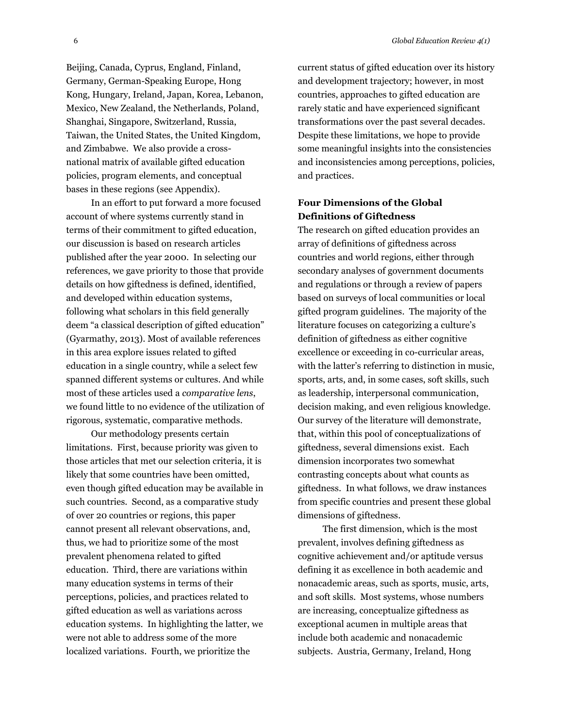Beijing, Canada, Cyprus, England, Finland, Germany, German-Speaking Europe, Hong Kong, Hungary, Ireland, Japan, Korea, Lebanon, Mexico, New Zealand, the Netherlands, Poland, Shanghai, Singapore, Switzerland, Russia, Taiwan, the United States, the United Kingdom, and Zimbabwe. We also provide a crossnational matrix of available gifted education policies, program elements, and conceptual bases in these regions (see Appendix).

In an effort to put forward a more focused account of where systems currently stand in terms of their commitment to gifted education, our discussion is based on research articles published after the year 2000. In selecting our references, we gave priority to those that provide details on how giftedness is defined, identified, and developed within education systems, following what scholars in this field generally deem "a classical description of gifted education" (Gyarmathy, 2013). Most of available references in this area explore issues related to gifted education in a single country, while a select few spanned different systems or cultures. And while most of these articles used a *comparative lens*, we found little to no evidence of the utilization of rigorous, systematic, comparative methods.

Our methodology presents certain limitations. First, because priority was given to those articles that met our selection criteria, it is likely that some countries have been omitted, even though gifted education may be available in such countries. Second, as a comparative study of over 20 countries or regions, this paper cannot present all relevant observations, and, thus, we had to prioritize some of the most prevalent phenomena related to gifted education. Third, there are variations within many education systems in terms of their perceptions, policies, and practices related to gifted education as well as variations across education systems. In highlighting the latter, we were not able to address some of the more localized variations. Fourth, we prioritize the

current status of gifted education over its history and development trajectory; however, in most countries, approaches to gifted education are rarely static and have experienced significant transformations over the past several decades. Despite these limitations, we hope to provide some meaningful insights into the consistencies and inconsistencies among perceptions, policies, and practices.

### **Four Dimensions of the Global Definitions of Giftedness**

The research on gifted education provides an array of definitions of giftedness across countries and world regions, either through secondary analyses of government documents and regulations or through a review of papers based on surveys of local communities or local gifted program guidelines. The majority of the literature focuses on categorizing a culture's definition of giftedness as either cognitive excellence or exceeding in co-curricular areas, with the latter's referring to distinction in music, sports, arts, and, in some cases, soft skills, such as leadership, interpersonal communication, decision making, and even religious knowledge. Our survey of the literature will demonstrate, that, within this pool of conceptualizations of giftedness, several dimensions exist. Each dimension incorporates two somewhat contrasting concepts about what counts as giftedness. In what follows, we draw instances from specific countries and present these global dimensions of giftedness.

The first dimension, which is the most prevalent, involves defining giftedness as cognitive achievement and/or aptitude versus defining it as excellence in both academic and nonacademic areas, such as sports, music, arts, and soft skills. Most systems, whose numbers are increasing, conceptualize giftedness as exceptional acumen in multiple areas that include both academic and nonacademic subjects. Austria, Germany, Ireland, Hong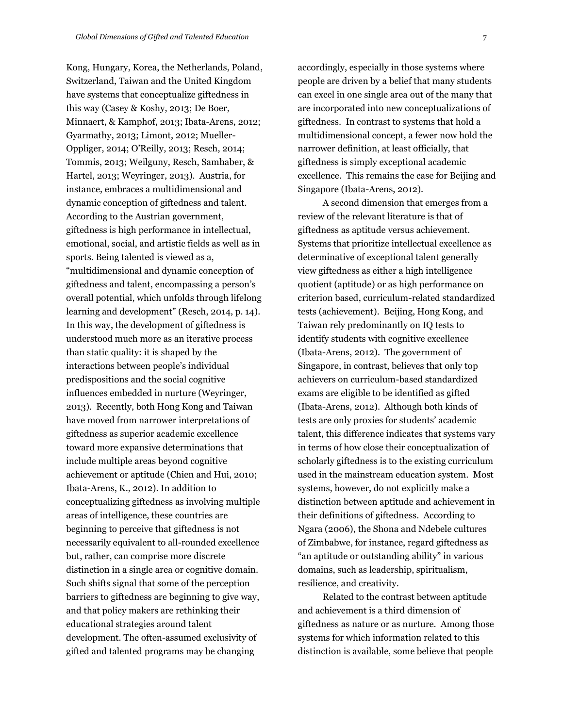Kong, Hungary, Korea, the Netherlands, Poland, Switzerland, Taiwan and the United Kingdom have systems that conceptualize giftedness in this way (Casey & Koshy, 2013; De Boer, Minnaert, & Kamphof, 2013; Ibata-Arens, 2012; Gyarmathy, 2013; Limont, 2012; Mueller-Oppliger, 2014; O'Reilly, 2013; Resch, 2014; Tommis, 2013; Weilguny, Resch, Samhaber, & Hartel, 2013; Weyringer, 2013). Austria, for instance, embraces a multidimensional and dynamic conception of giftedness and talent. According to the Austrian government, giftedness is high performance in intellectual, emotional, social, and artistic fields as well as in sports. Being talented is viewed as a, "multidimensional and dynamic conception of giftedness and talent, encompassing a person's overall potential, which unfolds through lifelong learning and development" (Resch, 2014, p. 14). In this way, the development of giftedness is understood much more as an iterative process than static quality: it is shaped by the interactions between people's individual predispositions and the social cognitive influences embedded in nurture (Weyringer, 2013). Recently, both Hong Kong and Taiwan have moved from narrower interpretations of giftedness as superior academic excellence toward more expansive determinations that include multiple areas beyond cognitive achievement or aptitude (Chien and Hui, 2010; Ibata-Arens, K., 2012). In addition to conceptualizing giftedness as involving multiple areas of intelligence, these countries are beginning to perceive that giftedness is not necessarily equivalent to all-rounded excellence but, rather, can comprise more discrete distinction in a single area or cognitive domain. Such shifts signal that some of the perception barriers to giftedness are beginning to give way, and that policy makers are rethinking their educational strategies around talent development. The often-assumed exclusivity of gifted and talented programs may be changing

accordingly, especially in those systems where people are driven by a belief that many students can excel in one single area out of the many that are incorporated into new conceptualizations of giftedness. In contrast to systems that hold a multidimensional concept, a fewer now hold the narrower definition, at least officially, that giftedness is simply exceptional academic excellence. This remains the case for Beijing and Singapore (Ibata-Arens, 2012).

A second dimension that emerges from a review of the relevant literature is that of giftedness as aptitude versus achievement. Systems that prioritize intellectual excellence as determinative of exceptional talent generally view giftedness as either a high intelligence quotient (aptitude) or as high performance on criterion based, curriculum-related standardized tests (achievement). Beijing, Hong Kong, and Taiwan rely predominantly on IQ tests to identify students with cognitive excellence (Ibata-Arens, 2012). The government of Singapore, in contrast, believes that only top achievers on curriculum-based standardized exams are eligible to be identified as gifted (Ibata-Arens, 2012). Although both kinds of tests are only proxies for students' academic talent, this difference indicates that systems vary in terms of how close their conceptualization of scholarly giftedness is to the existing curriculum used in the mainstream education system. Most systems, however, do not explicitly make a distinction between aptitude and achievement in their definitions of giftedness. According to Ngara (2006), the Shona and Ndebele cultures of Zimbabwe, for instance, regard giftedness as "an aptitude or outstanding ability" in various domains, such as leadership, spiritualism, resilience, and creativity.

Related to the contrast between aptitude and achievement is a third dimension of giftedness as nature or as nurture. Among those systems for which information related to this distinction is available, some believe that people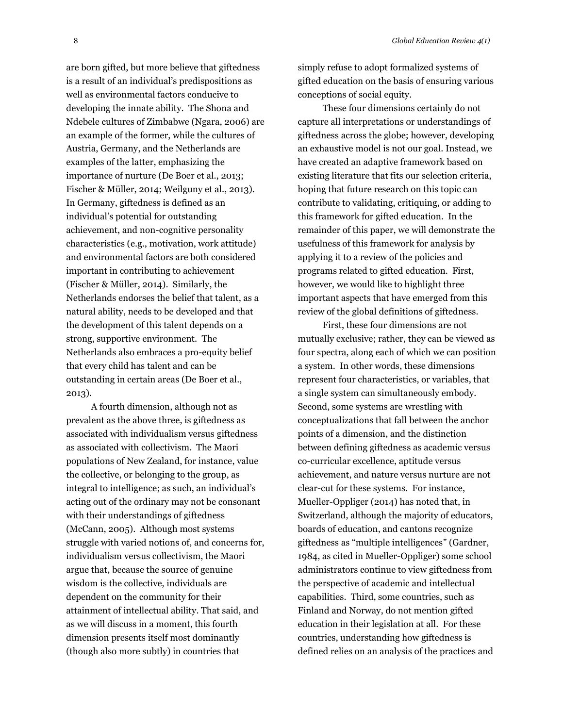are born gifted, but more believe that giftedness is a result of an individual's predispositions as well as environmental factors conducive to developing the innate ability. The Shona and Ndebele cultures of Zimbabwe (Ngara, 2006) are an example of the former, while the cultures of Austria, Germany, and the Netherlands are examples of the latter, emphasizing the importance of nurture (De Boer et al., 2013; Fischer & Müller, 2014; Weilguny et al., 2013). In Germany, giftedness is defined as an individual's potential for outstanding achievement, and non-cognitive personality characteristics (e.g., motivation, work attitude) and environmental factors are both considered important in contributing to achievement (Fischer & Müller, 2014). Similarly, the Netherlands endorses the belief that talent, as a natural ability, needs to be developed and that the development of this talent depends on a strong, supportive environment. The Netherlands also embraces a pro-equity belief that every child has talent and can be outstanding in certain areas (De Boer et al., 2013).

A fourth dimension, although not as prevalent as the above three, is giftedness as associated with individualism versus giftedness as associated with collectivism. The Maori populations of New Zealand, for instance, value the collective, or belonging to the group, as integral to intelligence; as such, an individual's acting out of the ordinary may not be consonant with their understandings of giftedness (McCann, 2005). Although most systems struggle with varied notions of, and concerns for, individualism versus collectivism, the Maori argue that, because the source of genuine wisdom is the collective, individuals are dependent on the community for their attainment of intellectual ability. That said, and as we will discuss in a moment, this fourth dimension presents itself most dominantly (though also more subtly) in countries that

simply refuse to adopt formalized systems of gifted education on the basis of ensuring various conceptions of social equity.

These four dimensions certainly do not capture all interpretations or understandings of giftedness across the globe; however, developing an exhaustive model is not our goal. Instead, we have created an adaptive framework based on existing literature that fits our selection criteria, hoping that future research on this topic can contribute to validating, critiquing, or adding to this framework for gifted education. In the remainder of this paper, we will demonstrate the usefulness of this framework for analysis by applying it to a review of the policies and programs related to gifted education. First, however, we would like to highlight three important aspects that have emerged from this review of the global definitions of giftedness.

First, these four dimensions are not mutually exclusive; rather, they can be viewed as four spectra, along each of which we can position a system. In other words, these dimensions represent four characteristics, or variables, that a single system can simultaneously embody. Second, some systems are wrestling with conceptualizations that fall between the anchor points of a dimension, and the distinction between defining giftedness as academic versus co-curricular excellence, aptitude versus achievement, and nature versus nurture are not clear-cut for these systems. For instance, Mueller-Oppliger (2014) has noted that, in Switzerland, although the majority of educators, boards of education, and cantons recognize giftedness as "multiple intelligences" (Gardner, 1984, as cited in Mueller-Oppliger) some school administrators continue to view giftedness from the perspective of academic and intellectual capabilities. Third, some countries, such as Finland and Norway, do not mention gifted education in their legislation at all. For these countries, understanding how giftedness is defined relies on an analysis of the practices and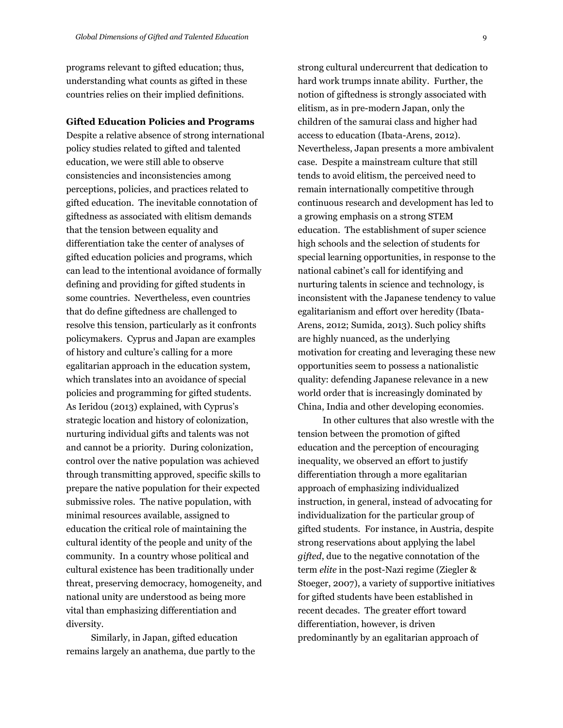programs relevant to gifted education; thus, understanding what counts as gifted in these countries relies on their implied definitions.

#### **Gifted Education Policies and Programs**

Despite a relative absence of strong international policy studies related to gifted and talented education, we were still able to observe consistencies and inconsistencies among perceptions, policies, and practices related to gifted education. The inevitable connotation of giftedness as associated with elitism demands that the tension between equality and differentiation take the center of analyses of gifted education policies and programs, which can lead to the intentional avoidance of formally defining and providing for gifted students in some countries. Nevertheless, even countries that do define giftedness are challenged to resolve this tension, particularly as it confronts policymakers. Cyprus and Japan are examples of history and culture's calling for a more egalitarian approach in the education system, which translates into an avoidance of special policies and programming for gifted students. As Ieridou (2013) explained, with Cyprus's strategic location and history of colonization, nurturing individual gifts and talents was not and cannot be a priority. During colonization, control over the native population was achieved through transmitting approved, specific skills to prepare the native population for their expected submissive roles. The native population, with minimal resources available, assigned to education the critical role of maintaining the cultural identity of the people and unity of the community. In a country whose political and cultural existence has been traditionally under threat, preserving democracy, homogeneity, and national unity are understood as being more vital than emphasizing differentiation and diversity.

Similarly, in Japan, gifted education remains largely an anathema, due partly to the strong cultural undercurrent that dedication to hard work trumps innate ability. Further, the notion of giftedness is strongly associated with elitism, as in pre-modern Japan, only the children of the samurai class and higher had access to education (Ibata-Arens, 2012). Nevertheless, Japan presents a more ambivalent case. Despite a mainstream culture that still tends to avoid elitism, the perceived need to remain internationally competitive through continuous research and development has led to a growing emphasis on a strong STEM education. The establishment of super science high schools and the selection of students for special learning opportunities, in response to the national cabinet's call for identifying and nurturing talents in science and technology, is inconsistent with the Japanese tendency to value egalitarianism and effort over heredity (Ibata-Arens, 2012; Sumida, 2013). Such policy shifts are highly nuanced, as the underlying motivation for creating and leveraging these new opportunities seem to possess a nationalistic quality: defending Japanese relevance in a new world order that is increasingly dominated by China, India and other developing economies.

In other cultures that also wrestle with the tension between the promotion of gifted education and the perception of encouraging inequality, we observed an effort to justify differentiation through a more egalitarian approach of emphasizing individualized instruction, in general, instead of advocating for individualization for the particular group of gifted students. For instance, in Austria, despite strong reservations about applying the label *gifted*, due to the negative connotation of the term *elite* in the post-Nazi regime (Ziegler & Stoeger, 2007), a variety of supportive initiatives for gifted students have been established in recent decades. The greater effort toward differentiation, however, is driven predominantly by an egalitarian approach of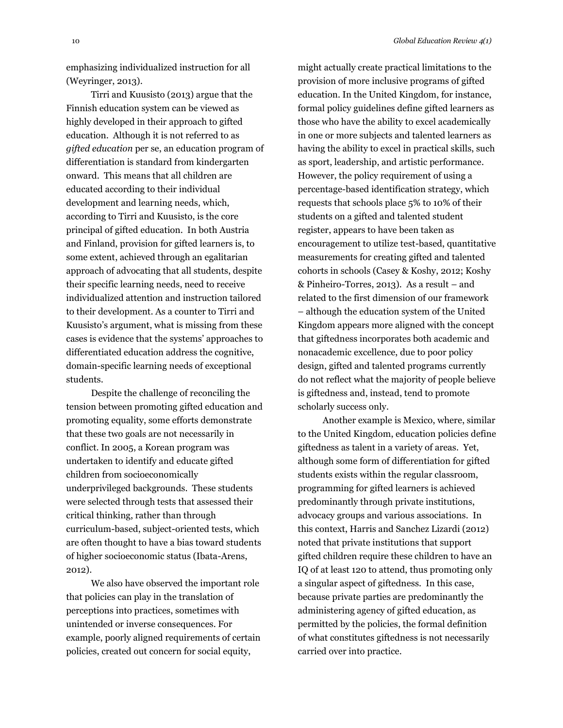emphasizing individualized instruction for all (Weyringer, 2013).

Tirri and Kuusisto (2013) argue that the Finnish education system can be viewed as highly developed in their approach to gifted education. Although it is not referred to as *gifted education* per se, an education program of differentiation is standard from kindergarten onward. This means that all children are educated according to their individual development and learning needs, which, according to Tirri and Kuusisto, is the core principal of gifted education. In both Austria and Finland, provision for gifted learners is, to some extent, achieved through an egalitarian approach of advocating that all students, despite their specific learning needs, need to receive individualized attention and instruction tailored to their development. As a counter to Tirri and Kuusisto's argument, what is missing from these cases is evidence that the systems' approaches to differentiated education address the cognitive, domain-specific learning needs of exceptional students.

Despite the challenge of reconciling the tension between promoting gifted education and promoting equality, some efforts demonstrate that these two goals are not necessarily in conflict. In 2005, a Korean program was undertaken to identify and educate gifted children from socioeconomically underprivileged backgrounds. These students were selected through tests that assessed their critical thinking, rather than through curriculum-based, subject-oriented tests, which are often thought to have a bias toward students of higher socioeconomic status (Ibata-Arens, 2012).

We also have observed the important role that policies can play in the translation of perceptions into practices, sometimes with unintended or inverse consequences. For example, poorly aligned requirements of certain policies, created out concern for social equity,

might actually create practical limitations to the provision of more inclusive programs of gifted education. In the United Kingdom, for instance, formal policy guidelines define gifted learners as those who have the ability to excel academically in one or more subjects and talented learners as having the ability to excel in practical skills, such as sport, leadership, and artistic performance. However, the policy requirement of using a percentage-based identification strategy, which requests that schools place 5% to 10% of their students on a gifted and talented student register, appears to have been taken as encouragement to utilize test-based, quantitative measurements for creating gifted and talented cohorts in schools (Casey & Koshy, 2012; Koshy & Pinheiro-Torres, 2013). As a result – and related to the first dimension of our framework – although the education system of the United Kingdom appears more aligned with the concept that giftedness incorporates both academic and nonacademic excellence, due to poor policy design, gifted and talented programs currently do not reflect what the majority of people believe is giftedness and, instead, tend to promote scholarly success only.

Another example is Mexico, where, similar to the United Kingdom, education policies define giftedness as talent in a variety of areas. Yet, although some form of differentiation for gifted students exists within the regular classroom, programming for gifted learners is achieved predominantly through private institutions, advocacy groups and various associations. In this context, Harris and Sanchez Lizardi (2012) noted that private institutions that support gifted children require these children to have an IQ of at least 120 to attend, thus promoting only a singular aspect of giftedness. In this case, because private parties are predominantly the administering agency of gifted education, as permitted by the policies, the formal definition of what constitutes giftedness is not necessarily carried over into practice.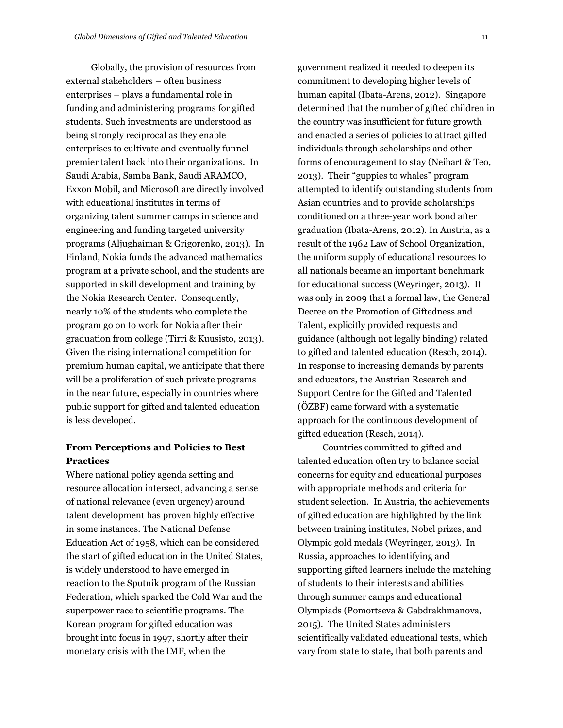Globally, the provision of resources from external stakeholders – often business enterprises – plays a fundamental role in funding and administering programs for gifted students. Such investments are understood as being strongly reciprocal as they enable enterprises to cultivate and eventually funnel premier talent back into their organizations. In Saudi Arabia, Samba Bank, Saudi ARAMCO, Exxon Mobil, and Microsoft are directly involved with educational institutes in terms of organizing talent summer camps in science and engineering and funding targeted university programs (Aljughaiman & Grigorenko, 2013). In Finland, Nokia funds the advanced mathematics program at a private school, and the students are supported in skill development and training by the Nokia Research Center. Consequently, nearly 10% of the students who complete the program go on to work for Nokia after their graduation from college (Tirri & Kuusisto, 2013). Given the rising international competition for premium human capital, we anticipate that there will be a proliferation of such private programs in the near future, especially in countries where public support for gifted and talented education is less developed.

### **From Perceptions and Policies to Best Practices**

Where national policy agenda setting and resource allocation intersect, advancing a sense of national relevance (even urgency) around talent development has proven highly effective in some instances. The National Defense Education Act of 1958, which can be considered the start of gifted education in the United States, is widely understood to have emerged in reaction to the Sputnik program of the Russian Federation, which sparked the Cold War and the superpower race to scientific programs. The Korean program for gifted education was brought into focus in 1997, shortly after their monetary crisis with the IMF, when the

government realized it needed to deepen its commitment to developing higher levels of human capital (Ibata-Arens, 2012). Singapore determined that the number of gifted children in the country was insufficient for future growth and enacted a series of policies to attract gifted individuals through scholarships and other forms of encouragement to stay (Neihart & Teo, 2013). Their "guppies to whales" program attempted to identify outstanding students from Asian countries and to provide scholarships conditioned on a three-year work bond after graduation (Ibata-Arens, 2012). In Austria, as a result of the 1962 Law of School Organization, the uniform supply of educational resources to all nationals became an important benchmark for educational success (Weyringer, 2013). It was only in 2009 that a formal law, the General Decree on the Promotion of Giftedness and Talent, explicitly provided requests and guidance (although not legally binding) related to gifted and talented education (Resch, 2014). In response to increasing demands by parents and educators, the Austrian Research and Support Centre for the Gifted and Talented (ÖZBF) came forward with a systematic approach for the continuous development of gifted education (Resch, 2014).

Countries committed to gifted and talented education often try to balance social concerns for equity and educational purposes with appropriate methods and criteria for student selection. In Austria, the achievements of gifted education are highlighted by the link between training institutes, Nobel prizes, and Olympic gold medals (Weyringer, 2013). In Russia, approaches to identifying and supporting gifted learners include the matching of students to their interests and abilities through summer camps and educational Olympiads (Pomortseva & Gabdrakhmanova, 2015). The United States administers scientifically validated educational tests, which vary from state to state, that both parents and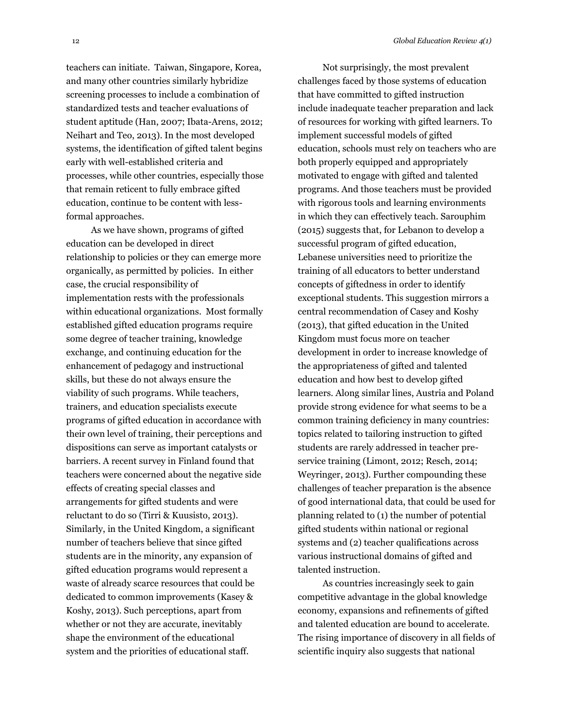teachers can initiate. Taiwan, Singapore, Korea, and many other countries similarly hybridize screening processes to include a combination of standardized tests and teacher evaluations of student aptitude (Han, 2007; Ibata-Arens, 2012; Neihart and Teo, 2013). In the most developed systems, the identification of gifted talent begins early with well-established criteria and processes, while other countries, especially those that remain reticent to fully embrace gifted education, continue to be content with lessformal approaches.

As we have shown, programs of gifted education can be developed in direct relationship to policies or they can emerge more organically, as permitted by policies. In either case, the crucial responsibility of implementation rests with the professionals within educational organizations. Most formally established gifted education programs require some degree of teacher training, knowledge exchange, and continuing education for the enhancement of pedagogy and instructional skills, but these do not always ensure the viability of such programs. While teachers, trainers, and education specialists execute programs of gifted education in accordance with their own level of training, their perceptions and dispositions can serve as important catalysts or barriers. A recent survey in Finland found that teachers were concerned about the negative side effects of creating special classes and arrangements for gifted students and were reluctant to do so (Tirri & Kuusisto, 2013). Similarly, in the United Kingdom, a significant number of teachers believe that since gifted students are in the minority, any expansion of gifted education programs would represent a waste of already scarce resources that could be dedicated to common improvements (Kasey & Koshy, 2013). Such perceptions, apart from whether or not they are accurate, inevitably shape the environment of the educational system and the priorities of educational staff.

Not surprisingly, the most prevalent challenges faced by those systems of education that have committed to gifted instruction include inadequate teacher preparation and lack of resources for working with gifted learners. To implement successful models of gifted education, schools must rely on teachers who are both properly equipped and appropriately motivated to engage with gifted and talented programs. And those teachers must be provided with rigorous tools and learning environments in which they can effectively teach. Sarouphim (2015) suggests that, for Lebanon to develop a successful program of gifted education, Lebanese universities need to prioritize the training of all educators to better understand concepts of giftedness in order to identify exceptional students. This suggestion mirrors a central recommendation of Casey and Koshy (2013), that gifted education in the United Kingdom must focus more on teacher development in order to increase knowledge of the appropriateness of gifted and talented education and how best to develop gifted learners. Along similar lines, Austria and Poland provide strong evidence for what seems to be a common training deficiency in many countries: topics related to tailoring instruction to gifted students are rarely addressed in teacher preservice training (Limont, 2012; Resch, 2014; Weyringer, 2013). Further compounding these challenges of teacher preparation is the absence of good international data, that could be used for planning related to (1) the number of potential gifted students within national or regional systems and (2) teacher qualifications across various instructional domains of gifted and talented instruction.

As countries increasingly seek to gain competitive advantage in the global knowledge economy, expansions and refinements of gifted and talented education are bound to accelerate. The rising importance of discovery in all fields of scientific inquiry also suggests that national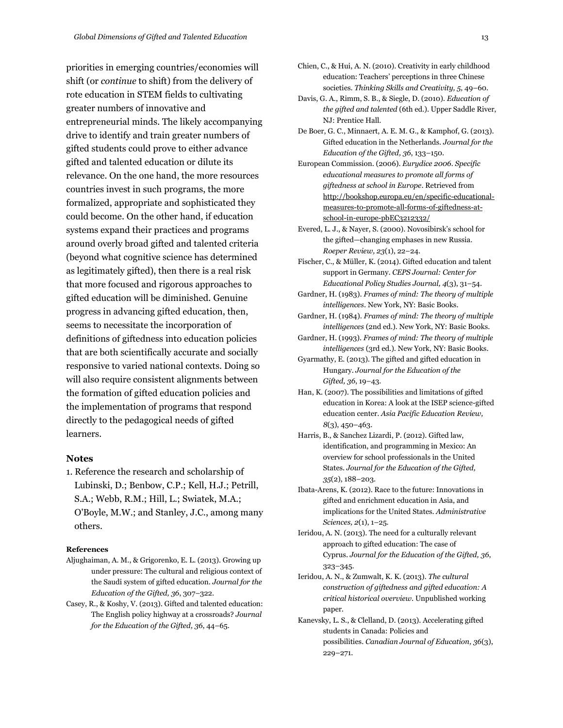priorities in emerging countries/economies will shift (or *continue* to shift) from the delivery of rote education in STEM fields to cultivating greater numbers of innovative and entrepreneurial minds. The likely accompanying drive to identify and train greater numbers of gifted students could prove to either advance gifted and talented education or dilute its relevance. On the one hand, the more resources countries invest in such programs, the more formalized, appropriate and sophisticated they could become. On the other hand, if education systems expand their practices and programs around overly broad gifted and talented criteria (beyond what cognitive science has determined as legitimately gifted), then there is a real risk that more focused and rigorous approaches to gifted education will be diminished. Genuine progress in advancing gifted education, then, seems to necessitate the incorporation of definitions of giftedness into education policies that are both scientifically accurate and socially responsive to varied national contexts. Doing so will also require consistent alignments between the formation of gifted education policies and the implementation of programs that respond directly to the pedagogical needs of gifted learners.

#### **Notes**

1. Reference the research and scholarship of Lubinski, D.; Benbow, C.P.; Kell, H.J.; Petrill, S.A.; Webb, R.M.; Hill, L.; Swiatek, M.A.; O'Boyle, M.W.; and Stanley, J.C., among many others.

#### **References**

- Aljughaiman, A. M., & Grigorenko, E. L. (2013). Growing up under pressure: The cultural and religious context of the Saudi system of gifted education. *Journal for the Education of the Gifted, 36*, 307–322.
- Casey, R., & Koshy, V. (2013). Gifted and talented education: The English policy highway at a crossroads? *Journal for the Education of the Gifted, 36*, 44–65.
- Chien, C., & Hui, A. N. (2010). Creativity in early childhood education: Teachers' perceptions in three Chinese societies. *Thinking Skills and Creativity, 5,* 49–60.
- Davis, G. A., Rimm, S. B., & Siegle, D. (2010). *Education of the gifted and talented* (6th ed.). Upper Saddle River, NJ: Prentice Hall.
- De Boer, G. C., Minnaert, A. E. M. G., & Kamphof, G. (2013). Gifted education in the Netherlands. *Journal for the Education of the Gifted, 36*, 133–150.
- European Commission. (2006). *Eurydice 2006. Specific educational measures to promote all forms of giftedness at school in Europe*. Retrieved from [http://bookshop.europa.eu/en/specific-educational](http://bookshop.europa.eu/en/specific-educational-measures-to-promote-all-forms-of-giftedness-at-school-in-europe-pbEC3212332/)[measures-to-promote-all-forms-of-giftedness-at](http://bookshop.europa.eu/en/specific-educational-measures-to-promote-all-forms-of-giftedness-at-school-in-europe-pbEC3212332/)[school-in-europe-pbEC3212332/](http://bookshop.europa.eu/en/specific-educational-measures-to-promote-all-forms-of-giftedness-at-school-in-europe-pbEC3212332/)
- Evered, L. J., & Nayer, S. (2000). Novosibirsk's school for the gifted—changing emphases in new Russia. *Roeper Review, 23*(1), 22–24.
- Fischer, C., & Müller, K. (2014). Gifted education and talent support in Germany. *CEPS Journal: Center for Educational Policy Studies Journal, 4*(3), 31–54.
- Gardner, H. (1983). *Frames of mind: The theory of multiple intelligences.* New York, NY: Basic Books.
- Gardner, H. (1984). *Frames of mind: The theory of multiple intelligences* (2nd ed.)*.* New York, NY: Basic Books.
- Gardner, H. (1993). *Frames of mind: The theory of multiple intelligences* (3rd ed.)*.* New York, NY: Basic Books.
- Gyarmathy, E. (2013). The gifted and gifted education in Hungary. *Journal for the Education of the Gifted, 36*, 19–43.
- Han, K. (2007). The possibilities and limitations of gifted education in Korea: A look at the ISEP science-gifted education center. *Asia Pacific Education Review, 8*(3), 450–463.
- Harris, B., & Sanchez Lizardi, P. (2012). Gifted law, identification, and programming in Mexico: An overview for school professionals in the United States. *Journal for the Education of the Gifted, 35*(2), 188–203.
- Ibata-Arens, K. (2012). Race to the future: Innovations in gifted and enrichment education in Asia, and implications for the United States. *Administrative Sciences, 2*(1), 1–25.
- Ieridou, A. N. (2013). The need for a culturally relevant approach to gifted education: The case of Cyprus. *Journal for the Education of the Gifted, 36*, 323–345.
- Ieridou, A. N., & Zumwalt, K. K. (2013). *The cultural construction of giftedness and gifted education: A critical historical overview*. Unpublished working paper.
- Kanevsky, L. S., & Clelland, D. (2013). Accelerating gifted students in Canada: Policies and possibilities. *Canadian Journal of Education, 36*(3), 229–271.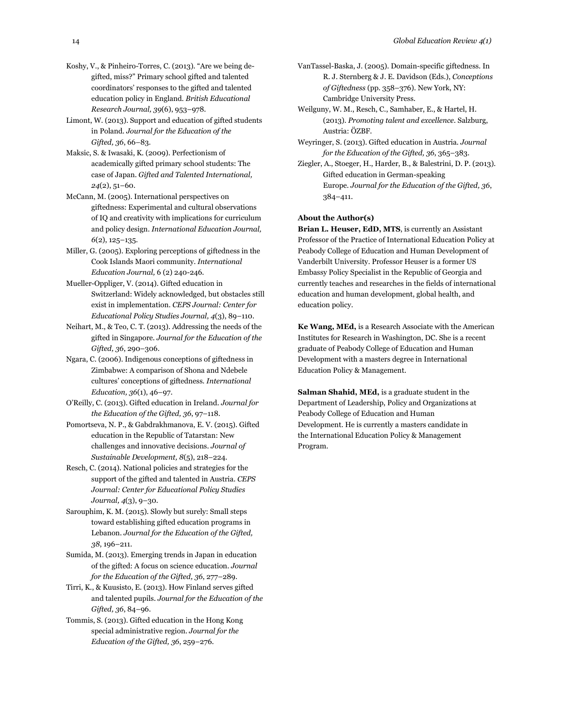- Koshy, V., & Pinheiro-Torres, C. (2013). "Are we being degifted, miss?" Primary school gifted and talented coordinators' responses to the gifted and talented education policy in England. *British Educational Research Journal, 39*(6), 953–978.
- Limont, W. (2013). Support and education of gifted students in Poland. *Journal for the Education of the Gifted, 36*, 66–83.
- Maksic, S. & Iwasaki, K. (2009). Perfectionism of academically gifted primary school students: The case of Japan. *Gifted and Talented International, 24*(2), 51–60.
- McCann, M. (2005). International perspectives on giftedness: Experimental and cultural observations of IQ and creativity with implications for curriculum and policy design. *International Education Journal, 6*(2), 125–135.
- Miller, G. (2005). Exploring perceptions of giftedness in the Cook Islands Maori community. *International Education Journal,* 6 (2) 240-246.
- Mueller-Oppliger, V. (2014). Gifted education in Switzerland: Widely acknowledged, but obstacles still exist in implementation. *CEPS Journal: Center for Educational Policy Studies Journal, 4*(3), 89–110.
- Neihart, M., & Teo, C. T. (2013). Addressing the needs of the gifted in Singapore. *Journal for the Education of the Gifted, 36*, 290–306.
- Ngara, C. (2006). Indigenous conceptions of giftedness in Zimbabwe: A comparison of Shona and Ndebele cultures' conceptions of giftedness. *International Education, 36*(1), 46–97.
- O'Reilly, C. (2013). Gifted education in Ireland. *Journal for the Education of the Gifted, 36*, 97–118.
- Pomortseva, N. P., & Gabdrakhmanova, E. V. (2015). Gifted education in the Republic of Tatarstan: New challenges and innovative decisions. *Journal of Sustainable Development, 8*(5), 218–224.
- Resch, C. (2014). National policies and strategies for the support of the gifted and talented in Austria. *CEPS Journal: Center for Educational Policy Studies Journal, 4*(3), 9–30.
- Sarouphim, K. M. (2015). Slowly but surely: Small steps toward establishing gifted education programs in Lebanon. *Journal for the Education of the Gifted, 38*, 196–211.
- Sumida, M. (2013). Emerging trends in Japan in education of the gifted: A focus on science education. *Journal for the Education of the Gifted, 36*, 277–289.
- Tirri, K., & Kuusisto, E. (2013). How Finland serves gifted and talented pupils. *Journal for the Education of the Gifted, 36*, 84–96.
- Tommis, S. (2013). Gifted education in the Hong Kong special administrative region. *Journal for the Education of the Gifted, 36*, 259–276.
- VanTassel-Baska, J. (2005). Domain-specific giftedness. In R. J. Sternberg & J. E. Davidson (Eds.), *Conceptions of Giftedness* (pp. 358–376). New York, NY: Cambridge University Press.
- Weilguny, W. M., Resch, C., Samhaber, E., & Hartel, H. (2013). *Promoting talent and excellence*. Salzburg, Austria: ÖZBF.
- Weyringer, S. (2013). Gifted education in Austria. *Journal for the Education of the Gifted, 36*, 365–383.
- Ziegler, A., Stoeger, H., Harder, B., & Balestrini, D. P. (2013). Gifted education in German-speaking Europe. *Journal for the Education of the Gifted, 36*, 384–411.

#### **About the Author(s)**

**Brian L. Heuser, EdD, MTS**, is currently an Assistant Professor of the Practice of International Education Policy at Peabody College of Education and Human Development of Vanderbilt University. Professor Heuser is a former US Embassy Policy Specialist in the Republic of Georgia and currently teaches and researches in the fields of international education and human development, global health, and education policy.

**Ke Wang, MEd,** is a Research Associate with the American Institutes for Research in Washington, DC. She is a recent graduate of Peabody College of Education and Human Development with a masters degree in International Education Policy & Management.

**Salman Shahid, MEd,** is a graduate student in the Department of Leadership, Policy and Organizations at Peabody College of Education and Human Development. He is currently a masters candidate in the International Education Policy & Management Program.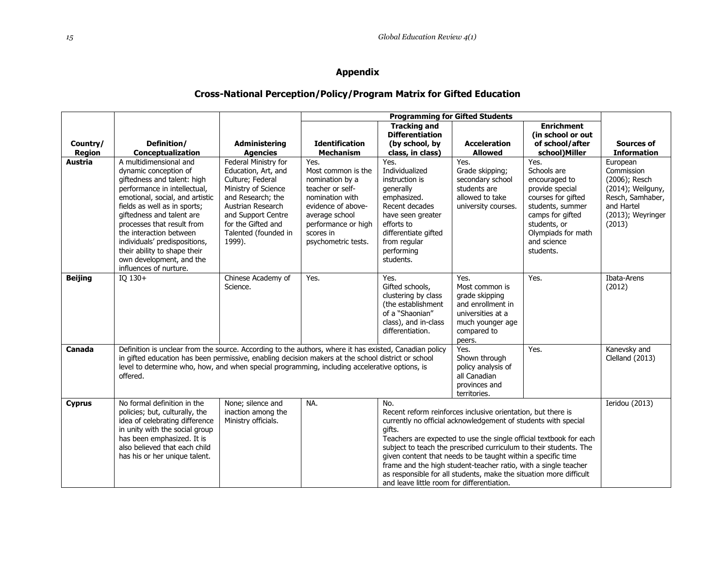## **Appendix**

# **Cross-National Perception/Policy/Program Matrix for Gifted Education**

|                |                                                                                                                                                                                                                                                                                                                                                                                                                                   |                                                                                                             |                                                                                                 | <b>Tracking and</b>                                                                                                                 |                                                                                                                                                                                                                                                                                                                                                                                                              | <b>Enrichment</b>                                                                                      |                                                                                  |
|----------------|-----------------------------------------------------------------------------------------------------------------------------------------------------------------------------------------------------------------------------------------------------------------------------------------------------------------------------------------------------------------------------------------------------------------------------------|-------------------------------------------------------------------------------------------------------------|-------------------------------------------------------------------------------------------------|-------------------------------------------------------------------------------------------------------------------------------------|--------------------------------------------------------------------------------------------------------------------------------------------------------------------------------------------------------------------------------------------------------------------------------------------------------------------------------------------------------------------------------------------------------------|--------------------------------------------------------------------------------------------------------|----------------------------------------------------------------------------------|
|                |                                                                                                                                                                                                                                                                                                                                                                                                                                   |                                                                                                             |                                                                                                 | <b>Differentiation</b>                                                                                                              |                                                                                                                                                                                                                                                                                                                                                                                                              | (in school or out                                                                                      |                                                                                  |
| Country/       | Definition/                                                                                                                                                                                                                                                                                                                                                                                                                       | <b>Administering</b>                                                                                        | <b>Identification</b>                                                                           | (by school, by                                                                                                                      | <b>Acceleration</b>                                                                                                                                                                                                                                                                                                                                                                                          | of school/after                                                                                        | <b>Sources of</b>                                                                |
| <b>Region</b>  | Conceptualization                                                                                                                                                                                                                                                                                                                                                                                                                 | <b>Agencies</b>                                                                                             | <b>Mechanism</b>                                                                                | class, in class)                                                                                                                    | <b>Allowed</b>                                                                                                                                                                                                                                                                                                                                                                                               | school)Miller                                                                                          | <b>Information</b>                                                               |
| Austria        | A multidimensional and<br>dynamic conception of<br>giftedness and talent: high<br>performance in intellectual,<br>emotional, social, and artistic                                                                                                                                                                                                                                                                                 | Federal Ministry for<br>Education, Art, and<br>Culture; Federal<br>Ministry of Science<br>and Research; the | Yes.<br>Most common is the<br>nomination by a<br>teacher or self-<br>nomination with            | Yes.<br>Individualized<br>instruction is<br>generally<br>emphasized.                                                                | Yes.<br>Grade skipping;<br>secondary school<br>students are<br>allowed to take                                                                                                                                                                                                                                                                                                                               | Yes.<br>Schools are<br>encouraged to<br>provide special<br>courses for gifted                          | European<br>Commission<br>(2006); Resch<br>(2014); Weilguny,<br>Resch, Samhaber, |
|                | fields as well as in sports;<br>giftedness and talent are<br>processes that result from<br>the interaction between<br>individuals' predispositions,<br>their ability to shape their<br>own development, and the<br>influences of nurture.                                                                                                                                                                                         | Austrian Research<br>and Support Centre<br>for the Gifted and<br>Talented (founded in<br>1999).             | evidence of above-<br>average school<br>performance or high<br>scores in<br>psychometric tests. | Recent decades<br>have seen greater<br>efforts to<br>differentiate gifted<br>from regular<br>performing<br>students.                | university courses.                                                                                                                                                                                                                                                                                                                                                                                          | students, summer<br>camps for gifted<br>students, or<br>Olympiads for math<br>and science<br>students. | and Hartel<br>(2013); Weyringer<br>(2013)                                        |
| <b>Beijing</b> | IQ $130+$                                                                                                                                                                                                                                                                                                                                                                                                                         | Chinese Academy of<br>Science.                                                                              | Yes.                                                                                            | Yes.<br>Gifted schools,<br>clustering by class<br>(the establishment<br>of a "Shaonian"<br>class), and in-class<br>differentiation. | Yes.<br>Most common is<br>grade skipping<br>and enrollment in<br>universities at a<br>much younger age<br>compared to<br>peers.                                                                                                                                                                                                                                                                              | Yes.                                                                                                   | Ibata-Arens<br>(2012)                                                            |
| Canada         | Definition is unclear from the source. According to the authors, where it has existed, Canadian policy<br>Yes.<br>Yes.<br>in gifted education has been permissive, enabling decision makers at the school district or school<br>Shown through<br>level to determine who, how, and when special programming, including accelerative options, is<br>policy analysis of<br>offered.<br>all Canadian<br>provinces and<br>territories. |                                                                                                             |                                                                                                 |                                                                                                                                     |                                                                                                                                                                                                                                                                                                                                                                                                              |                                                                                                        | Kanevsky and<br>Clelland (2013)                                                  |
| <b>Cyprus</b>  | No formal definition in the<br>policies; but, culturally, the<br>idea of celebrating difference<br>in unity with the social group<br>has been emphasized. It is<br>also believed that each child<br>has his or her unique talent.                                                                                                                                                                                                 | None; silence and<br>inaction among the<br>Ministry officials.                                              | NA.                                                                                             | No.<br>gifts.<br>and leave little room for differentiation.                                                                         | Recent reform reinforces inclusive orientation, but there is<br>currently no official acknowledgement of students with special<br>subject to teach the prescribed curriculum to their students. The<br>given content that needs to be taught within a specific time<br>frame and the high student-teacher ratio, with a single teacher<br>as responsible for all students, make the situation more difficult | Teachers are expected to use the single official textbook for each                                     | Ieridou (2013)                                                                   |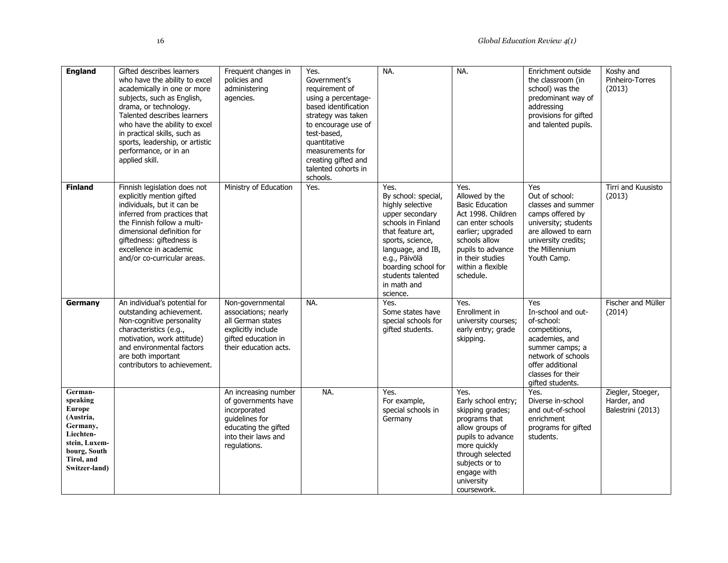| <b>England</b>                                                                                                                             | Gifted describes learners<br>who have the ability to excel<br>academically in one or more<br>subjects, such as English,<br>drama, or technology.<br>Talented describes learners<br>who have the ability to excel<br>in practical skills, such as<br>sports, leadership, or artistic<br>performance, or in an<br>applied skill. | Frequent changes in<br>policies and<br>administering<br>agencies.                                                                            | Yes.<br>Government's<br>requirement of<br>using a percentage-<br>based identification<br>strategy was taken<br>to encourage use of<br>test-based,<br>quantitative<br>measurements for<br>creating gifted and<br>talented cohorts in<br>schools. | NA.                                                                                                                                                                                                                                            | NA.                                                                                                                                                                                                          | Enrichment outside<br>the classroom (in<br>school) was the<br>predominant way of<br>addressing<br>provisions for gifted<br>and talented pupils.                                  | Koshy and<br>Pinheiro-Torres<br>(2013)                |
|--------------------------------------------------------------------------------------------------------------------------------------------|--------------------------------------------------------------------------------------------------------------------------------------------------------------------------------------------------------------------------------------------------------------------------------------------------------------------------------|----------------------------------------------------------------------------------------------------------------------------------------------|-------------------------------------------------------------------------------------------------------------------------------------------------------------------------------------------------------------------------------------------------|------------------------------------------------------------------------------------------------------------------------------------------------------------------------------------------------------------------------------------------------|--------------------------------------------------------------------------------------------------------------------------------------------------------------------------------------------------------------|----------------------------------------------------------------------------------------------------------------------------------------------------------------------------------|-------------------------------------------------------|
| <b>Finland</b>                                                                                                                             | Finnish legislation does not<br>explicitly mention gifted<br>individuals, but it can be<br>inferred from practices that<br>the Finnish follow a multi-<br>dimensional definition for<br>giftedness: giftedness is<br>excellence in academic<br>and/or co-curricular areas.                                                     | Ministry of Education                                                                                                                        | Yes.                                                                                                                                                                                                                                            | Yes.<br>By school: special,<br>highly selective<br>upper secondary<br>schools in Finland<br>that feature art,<br>sports, science,<br>language, and IB,<br>e.g., Päivölä<br>boarding school for<br>students talented<br>in math and<br>science. | Yes.<br>Allowed by the<br><b>Basic Education</b><br>Act 1998. Children<br>can enter schools<br>earlier; upgraded<br>schools allow<br>pupils to advance<br>in their studies<br>within a flexible<br>schedule. | Yes<br>Out of school:<br>classes and summer<br>camps offered by<br>university; students<br>are allowed to earn<br>university credits;<br>the Millennium<br>Youth Camp.           | Tirri and Kuusisto<br>(2013)                          |
| Germany                                                                                                                                    | An individual's potential for<br>outstanding achievement.<br>Non-cognitive personality<br>characteristics (e.g.,<br>motivation, work attitude)<br>and environmental factors<br>are both important<br>contributors to achievement.                                                                                              | Non-governmental<br>associations; nearly<br>all German states<br>explicitly include<br>gifted education in<br>their education acts.          | NA.                                                                                                                                                                                                                                             | Yes.<br>Some states have<br>special schools for<br>gifted students.                                                                                                                                                                            | Yes.<br>Enrollment in<br>university courses;<br>early entry; grade<br>skipping.                                                                                                                              | Yes<br>In-school and out-<br>of-school:<br>competitions,<br>academies, and<br>summer camps; a<br>network of schools<br>offer additional<br>classes for their<br>gifted students. | Fischer and Müller<br>(2014)                          |
| German-<br>speaking<br><b>Europe</b><br>(Austria,<br>Germany,<br>Liechten-<br>stein, Luxem-<br>bourg, South<br>Tirol, and<br>Switzer-land) |                                                                                                                                                                                                                                                                                                                                | An increasing number<br>of governments have<br>incorporated<br>guidelines for<br>educating the gifted<br>into their laws and<br>regulations. | NA.                                                                                                                                                                                                                                             | Yes.<br>For example,<br>special schools in<br>Germany                                                                                                                                                                                          | Yes.<br>Early school entry;<br>skipping grades;<br>programs that<br>allow groups of<br>pupils to advance<br>more quickly<br>through selected<br>subjects or to<br>engage with<br>university<br>coursework.   | Yes.<br>Diverse in-school<br>and out-of-school<br>enrichment<br>programs for gifted<br>students.                                                                                 | Ziegler, Stoeger,<br>Harder, and<br>Balestrini (2013) |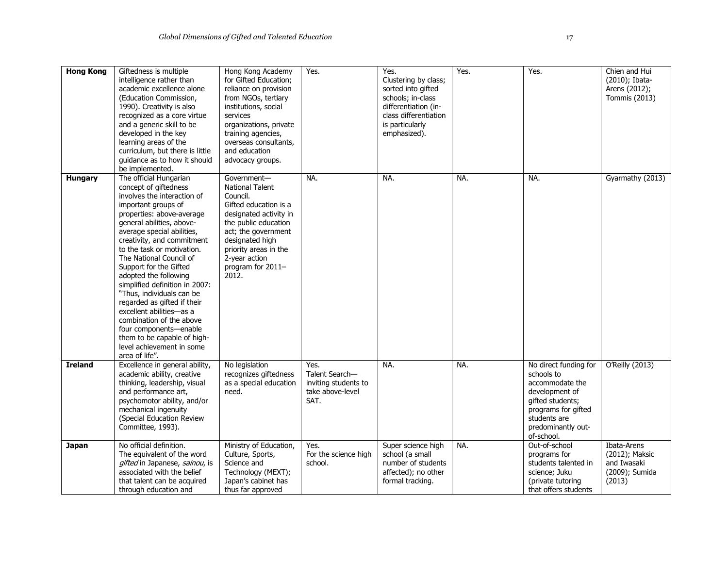| <b>Hong Kong</b> | Giftedness is multiple          | Hong Kong Academy      | Yes.                     | Yes.                  | Yes. | Yes.                  | Chien and Hui    |
|------------------|---------------------------------|------------------------|--------------------------|-----------------------|------|-----------------------|------------------|
|                  | intelligence rather than        | for Gifted Education;  |                          | Clustering by class;  |      |                       | (2010); Ibata-   |
|                  | academic excellence alone       | reliance on provision  |                          | sorted into gifted    |      |                       | Arens (2012);    |
|                  | (Education Commission,          | from NGOs, tertiary    |                          | schools; in-class     |      |                       | Tommis (2013)    |
|                  | 1990). Creativity is also       | institutions, social   |                          | differentiation (in-  |      |                       |                  |
|                  | recognized as a core virtue     | services               |                          | class differentiation |      |                       |                  |
|                  | and a generic skill to be       | organizations, private |                          | is particularly       |      |                       |                  |
|                  | developed in the key            | training agencies,     |                          | emphasized).          |      |                       |                  |
|                  | learning areas of the           | overseas consultants,  |                          |                       |      |                       |                  |
|                  | curriculum, but there is little | and education          |                          |                       |      |                       |                  |
|                  | guidance as to how it should    | advocacy groups.       |                          |                       |      |                       |                  |
|                  | be implemented.                 |                        |                          |                       |      |                       |                  |
| Hungary          | The official Hungarian          | Government-            | NA.                      | NA.                   | NA.  | NA.                   | Gyarmathy (2013) |
|                  | concept of giftedness           | <b>National Talent</b> |                          |                       |      |                       |                  |
|                  | involves the interaction of     | Council.               |                          |                       |      |                       |                  |
|                  | important groups of             | Gifted education is a  |                          |                       |      |                       |                  |
|                  | properties: above-average       | designated activity in |                          |                       |      |                       |                  |
|                  | general abilities, above-       | the public education   |                          |                       |      |                       |                  |
|                  | average special abilities,      | act; the government    |                          |                       |      |                       |                  |
|                  | creativity, and commitment      | designated high        |                          |                       |      |                       |                  |
|                  | to the task or motivation.      | priority areas in the  |                          |                       |      |                       |                  |
|                  | The National Council of         | 2-year action          |                          |                       |      |                       |                  |
|                  | Support for the Gifted          | program for 2011-      |                          |                       |      |                       |                  |
|                  | adopted the following           | 2012.                  |                          |                       |      |                       |                  |
|                  | simplified definition in 2007:  |                        |                          |                       |      |                       |                  |
|                  |                                 |                        |                          |                       |      |                       |                  |
|                  | "Thus, individuals can be       |                        |                          |                       |      |                       |                  |
|                  | regarded as gifted if their     |                        |                          |                       |      |                       |                  |
|                  | excellent abilities-as a        |                        |                          |                       |      |                       |                  |
|                  | combination of the above        |                        |                          |                       |      |                       |                  |
|                  | four components-enable          |                        |                          |                       |      |                       |                  |
|                  | them to be capable of high-     |                        |                          |                       |      |                       |                  |
|                  | level achievement in some       |                        |                          |                       |      |                       |                  |
|                  | area of life".                  |                        |                          |                       |      |                       |                  |
| <b>Ireland</b>   | Excellence in general ability,  | No legislation         | Yes.                     | NA.                   | NA.  | No direct funding for | O'Reilly (2013)  |
|                  | academic ability, creative      | recognizes giftedness  | Talent Search-           |                       |      | schools to            |                  |
|                  | thinking, leadership, visual    | as a special education | inviting students to     |                       |      | accommodate the       |                  |
|                  | and performance art,            | need.                  | take above-level<br>SAT. |                       |      | development of        |                  |
|                  | psychomotor ability, and/or     |                        |                          |                       |      | gifted students;      |                  |
|                  | mechanical ingenuity            |                        |                          |                       |      | programs for gifted   |                  |
|                  | (Special Education Review       |                        |                          |                       |      | students are          |                  |
|                  | Committee, 1993).               |                        |                          |                       |      | predominantly out-    |                  |
|                  | No official definition.         | Ministry of Education, |                          |                       | NA.  | of-school.            | Ibata-Arens      |
| <b>Japan</b>     |                                 |                        | Yes.                     | Super science high    |      | Out-of-school         |                  |
|                  | The equivalent of the word      | Culture, Sports,       | For the science high     | school (a small       |      | programs for          | (2012); Maksic   |
|                  | gifted in Japanese, sainou, is  | Science and            | school.                  | number of students    |      | students talented in  | and Iwasaki      |
|                  | associated with the belief      | Technology (MEXT);     |                          | affected); no other   |      | science; Juku         | (2009); Sumida   |
|                  | that talent can be acquired     | Japan's cabinet has    |                          | formal tracking.      |      | (private tutoring     | (2013)           |
|                  | through education and           | thus far approved      |                          |                       |      | that offers students  |                  |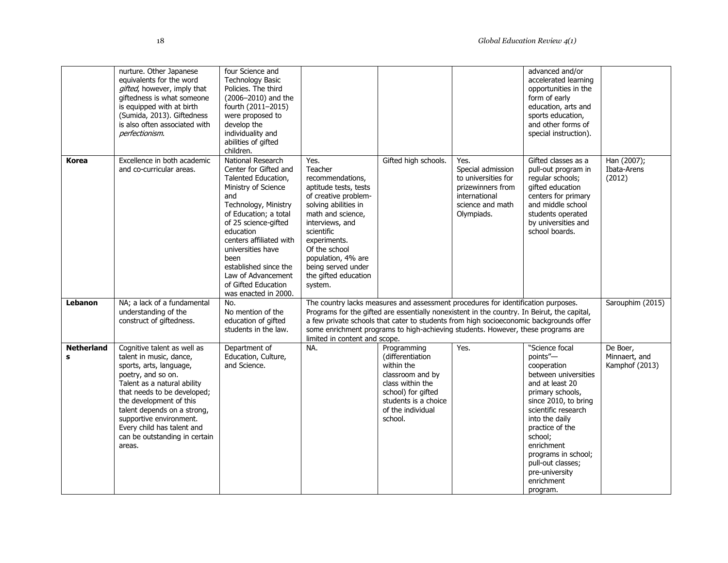|                        | nurture. Other Japanese<br>equivalents for the word<br>gifted, however, imply that<br>giftedness is what someone<br>is equipped with at birth<br>(Sumida, 2013). Giftedness<br>is also often associated with<br>perfectionism.                                                                                                      | four Science and<br><b>Technology Basic</b><br>Policies. The third<br>(2006-2010) and the<br>fourth (2011-2015)<br>were proposed to<br>develop the<br>individuality and<br>abilities of gifted<br>children.                                                                                                                                 |                                                                                                                                                                                                                                                                                    |                                                                                                                                                                                                                                                                                                                                                                |                                                                                                                          | advanced and/or<br>accelerated learning<br>opportunities in the<br>form of early<br>education, arts and<br>sports education,<br>and other forms of<br>special instruction).                                                                                                                                   |                                             |  |  |
|------------------------|-------------------------------------------------------------------------------------------------------------------------------------------------------------------------------------------------------------------------------------------------------------------------------------------------------------------------------------|---------------------------------------------------------------------------------------------------------------------------------------------------------------------------------------------------------------------------------------------------------------------------------------------------------------------------------------------|------------------------------------------------------------------------------------------------------------------------------------------------------------------------------------------------------------------------------------------------------------------------------------|----------------------------------------------------------------------------------------------------------------------------------------------------------------------------------------------------------------------------------------------------------------------------------------------------------------------------------------------------------------|--------------------------------------------------------------------------------------------------------------------------|---------------------------------------------------------------------------------------------------------------------------------------------------------------------------------------------------------------------------------------------------------------------------------------------------------------|---------------------------------------------|--|--|
| Korea                  | Excellence in both academic<br>and co-curricular areas.                                                                                                                                                                                                                                                                             | National Research<br>Center for Gifted and<br>Talented Education,<br>Ministry of Science<br>and<br>Technology, Ministry<br>of Education; a total<br>of 25 science-gifted<br>education<br>centers affiliated with<br>universities have<br>been<br>established since the<br>Law of Advancement<br>of Gifted Education<br>was enacted in 2000. | Yes.<br>Teacher<br>recommendations,<br>aptitude tests, tests<br>of creative problem-<br>solving abilities in<br>math and science,<br>interviews, and<br>scientific<br>experiments.<br>Of the school<br>population, 4% are<br>being served under<br>the gifted education<br>system. | Gifted high schools.                                                                                                                                                                                                                                                                                                                                           | Yes.<br>Special admission<br>to universities for<br>prizewinners from<br>international<br>science and math<br>Olympiads. | Gifted classes as a<br>pull-out program in<br>regular schools;<br>gifted education<br>centers for primary<br>and middle school<br>students operated<br>by universities and<br>school boards.                                                                                                                  | Han (2007);<br>Ibata-Arens<br>(2012)        |  |  |
| <b>Lebanon</b>         | NA; a lack of a fundamental<br>understanding of the<br>construct of giftedness.                                                                                                                                                                                                                                                     | No.<br>No mention of the<br>education of gifted<br>students in the law.                                                                                                                                                                                                                                                                     | limited in content and scope.                                                                                                                                                                                                                                                      | The country lacks measures and assessment procedures for identification purposes.<br>Programs for the gifted are essentially nonexistent in the country. In Beirut, the capital,<br>a few private schools that cater to students from high socioeconomic backgrounds offer<br>some enrichment programs to high-achieving students. However, these programs are |                                                                                                                          |                                                                                                                                                                                                                                                                                                               |                                             |  |  |
| <b>Netherland</b><br>s | Cognitive talent as well as<br>talent in music, dance,<br>sports, arts, language,<br>poetry, and so on.<br>Talent as a natural ability<br>that needs to be developed;<br>the development of this<br>talent depends on a strong,<br>supportive environment.<br>Every child has talent and<br>can be outstanding in certain<br>areas. | Department of<br>Education, Culture,<br>and Science.                                                                                                                                                                                                                                                                                        | NA.                                                                                                                                                                                                                                                                                | Programming<br>(differentiation<br>within the<br>classroom and by<br>class within the<br>school) for gifted<br>students is a choice<br>of the individual<br>school.                                                                                                                                                                                            | Yes.                                                                                                                     | "Science focal<br>points"-<br>cooperation<br>between universities<br>and at least 20<br>primary schools,<br>since 2010, to bring<br>scientific research<br>into the daily<br>practice of the<br>school:<br>enrichment<br>programs in school;<br>pull-out classes;<br>pre-university<br>enrichment<br>program. | De Boer.<br>Minnaert, and<br>Kamphof (2013) |  |  |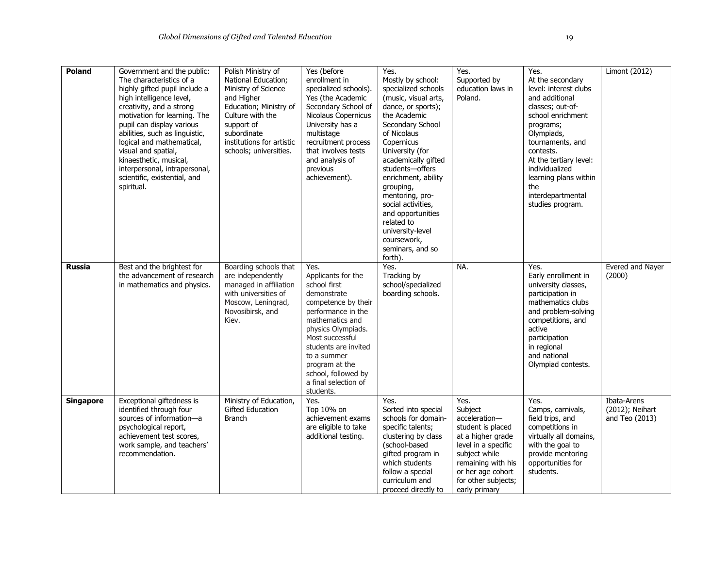| Poland           | Government and the public:<br>The characteristics of a<br>highly gifted pupil include a<br>high intelligence level,<br>creativity, and a strong<br>motivation for learning. The<br>pupil can display various<br>abilities, such as linguistic,<br>logical and mathematical,<br>visual and spatial,<br>kinaesthetic, musical,<br>interpersonal, intrapersonal,<br>scientific, existential, and<br>spiritual. | Polish Ministry of<br>National Education;<br>Ministry of Science<br>and Higher<br>Education; Ministry of<br>Culture with the<br>support of<br>subordinate<br>institutions for artistic<br>schools; universities. | Yes (before<br>enrollment in<br>specialized schools).<br>Yes (the Academic<br>Secondary School of<br>Nicolaus Copernicus<br>University has a<br>multistage<br>recruitment process<br>that involves tests<br>and analysis of<br>previous<br>achievement).                                | Yes.<br>Mostly by school:<br>specialized schools<br>(music, visual arts,<br>dance, or sports);<br>the Academic<br>Secondary School<br>of Nicolaus<br>Copernicus<br>University (for<br>academically gifted<br>students-offers<br>enrichment, ability<br>grouping,<br>mentoring, pro-<br>social activities,<br>and opportunities<br>related to<br>university-level<br>coursework,<br>seminars, and so<br>forth). | Yes.<br>Supported by<br>education laws in<br>Poland.                                                                                                                                                  | Yes.<br>At the secondary<br>level: interest clubs<br>and additional<br>classes; out-of-<br>school enrichment<br>programs;<br>Olympiads,<br>tournaments, and<br>contests.<br>At the tertiary level:<br>individualized<br>learning plans within<br>the<br>interdepartmental<br>studies program. | <b>Limont (2012)</b>                             |
|------------------|-------------------------------------------------------------------------------------------------------------------------------------------------------------------------------------------------------------------------------------------------------------------------------------------------------------------------------------------------------------------------------------------------------------|------------------------------------------------------------------------------------------------------------------------------------------------------------------------------------------------------------------|-----------------------------------------------------------------------------------------------------------------------------------------------------------------------------------------------------------------------------------------------------------------------------------------|----------------------------------------------------------------------------------------------------------------------------------------------------------------------------------------------------------------------------------------------------------------------------------------------------------------------------------------------------------------------------------------------------------------|-------------------------------------------------------------------------------------------------------------------------------------------------------------------------------------------------------|-----------------------------------------------------------------------------------------------------------------------------------------------------------------------------------------------------------------------------------------------------------------------------------------------|--------------------------------------------------|
| <b>Russia</b>    | Best and the brightest for<br>the advancement of research<br>in mathematics and physics.                                                                                                                                                                                                                                                                                                                    | Boarding schools that<br>are independently<br>managed in affiliation<br>with universities of<br>Moscow, Leningrad,<br>Novosibirsk, and<br>Kiev.                                                                  | Yes.<br>Applicants for the<br>school first<br>demonstrate<br>competence by their<br>performance in the<br>mathematics and<br>physics Olympiads.<br>Most successful<br>students are invited<br>to a summer<br>program at the<br>school, followed by<br>a final selection of<br>students. | Yes.<br>Tracking by<br>school/specialized<br>boarding schools.                                                                                                                                                                                                                                                                                                                                                 | NA.                                                                                                                                                                                                   | Yes.<br>Early enrollment in<br>university classes,<br>participation in<br>mathematics clubs<br>and problem-solving<br>competitions, and<br>active<br>participation<br>in regional<br>and national<br>Olympiad contests.                                                                       | Evered and Nayer<br>(2000)                       |
| <b>Singapore</b> | Exceptional giftedness is<br>identified through four<br>sources of information-a<br>psychological report,<br>achievement test scores,<br>work sample, and teachers'<br>recommendation.                                                                                                                                                                                                                      | Ministry of Education,<br><b>Gifted Education</b><br><b>Branch</b>                                                                                                                                               | Yes.<br>Top 10% on<br>achievement exams<br>are eligible to take<br>additional testing.                                                                                                                                                                                                  | Yes.<br>Sorted into special<br>schools for domain-<br>specific talents;<br>clustering by class<br>(school-based<br>gifted program in<br>which students<br>follow a special<br>curriculum and<br>proceed directly to                                                                                                                                                                                            | Yes.<br>Subject<br>acceleration-<br>student is placed<br>at a higher grade<br>level in a specific<br>subject while<br>remaining with his<br>or her age cohort<br>for other subjects;<br>early primary | Yes.<br>Camps, carnivals,<br>field trips, and<br>competitions in<br>virtually all domains,<br>with the goal to<br>provide mentoring<br>opportunities for<br>students.                                                                                                                         | Ibata-Arens<br>(2012); Neihart<br>and Teo (2013) |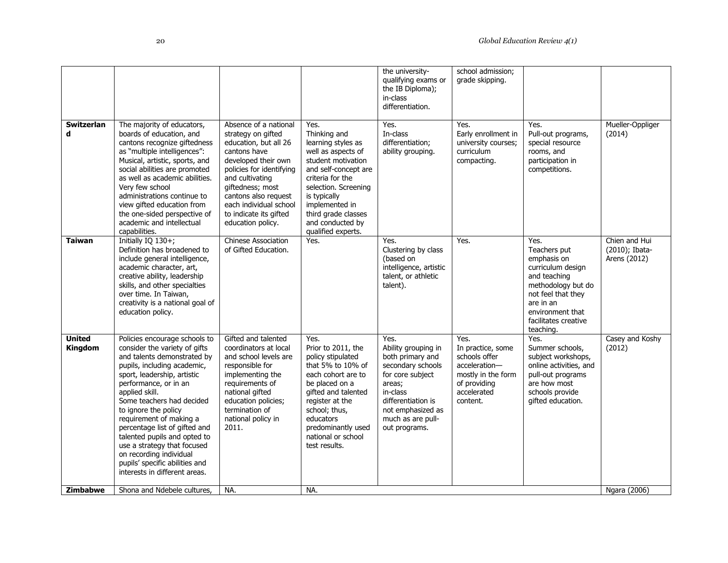|                                 |                                                                                                                                                                                                                                                                                                                                                                                                                                                                                      |                                                                                                                                                                                                                                                                                 |                                                                                                                                                                                                                                                               | the university-<br>qualifying exams or<br>the IB Diploma);                                                                                                                                      | school admission;<br>grade skipping.                                                                                         |                                                                                                                                                                                            |                                                 |
|---------------------------------|--------------------------------------------------------------------------------------------------------------------------------------------------------------------------------------------------------------------------------------------------------------------------------------------------------------------------------------------------------------------------------------------------------------------------------------------------------------------------------------|---------------------------------------------------------------------------------------------------------------------------------------------------------------------------------------------------------------------------------------------------------------------------------|---------------------------------------------------------------------------------------------------------------------------------------------------------------------------------------------------------------------------------------------------------------|-------------------------------------------------------------------------------------------------------------------------------------------------------------------------------------------------|------------------------------------------------------------------------------------------------------------------------------|--------------------------------------------------------------------------------------------------------------------------------------------------------------------------------------------|-------------------------------------------------|
|                                 |                                                                                                                                                                                                                                                                                                                                                                                                                                                                                      |                                                                                                                                                                                                                                                                                 |                                                                                                                                                                                                                                                               | in-class<br>differentiation.                                                                                                                                                                    |                                                                                                                              |                                                                                                                                                                                            |                                                 |
| <b>Switzerlan</b><br>d          | The majority of educators,<br>boards of education, and<br>cantons recognize giftedness<br>as "multiple intelligences":<br>Musical, artistic, sports, and<br>social abilities are promoted<br>as well as academic abilities.<br>Very few school<br>administrations continue to<br>view gifted education from<br>the one-sided perspective of<br>academic and intellectual<br>capabilities.                                                                                            | Absence of a national<br>strategy on gifted<br>education, but all 26<br>cantons have<br>developed their own<br>policies for identifying<br>and cultivating<br>giftedness; most<br>cantons also request<br>each individual school<br>to indicate its gifted<br>education policy. | Yes.<br>Thinking and<br>learning styles as<br>well as aspects of<br>student motivation<br>and self-concept are<br>criteria for the<br>selection. Screening<br>is typically<br>implemented in<br>third grade classes<br>and conducted by<br>qualified experts. | Yes.<br>In-class<br>differentiation;<br>ability grouping.                                                                                                                                       | Yes.<br>Early enrollment in<br>university courses;<br>curriculum<br>compacting.                                              | Yes.<br>Pull-out programs,<br>special resource<br>rooms, and<br>participation in<br>competitions.                                                                                          | Mueller-Oppliger<br>(2014)                      |
| Taiwan                          | Initially IQ 130+;<br>Definition has broadened to<br>include general intelligence,<br>academic character, art,<br>creative ability, leadership<br>skills, and other specialties<br>over time. In Taiwan,<br>creativity is a national goal of<br>education policy.                                                                                                                                                                                                                    | <b>Chinese Association</b><br>of Gifted Education.                                                                                                                                                                                                                              | Yes.                                                                                                                                                                                                                                                          | Yes.<br>Clustering by class<br>(based on<br>intelligence, artistic<br>talent, or athletic<br>talent).                                                                                           | $\overline{Yes}$ .                                                                                                           | Yes.<br>Teachers put<br>emphasis on<br>curriculum design<br>and teaching<br>methodology but do<br>not feel that they<br>are in an<br>environment that<br>facilitates creative<br>teaching. | Chien and Hui<br>(2010); Ibata-<br>Arens (2012) |
| <b>United</b><br><b>Kingdom</b> | Policies encourage schools to<br>consider the variety of gifts<br>and talents demonstrated by<br>pupils, including academic,<br>sport, leadership, artistic<br>performance, or in an<br>applied skill.<br>Some teachers had decided<br>to ignore the policy<br>requirement of making a<br>percentage list of gifted and<br>talented pupils and opted to<br>use a strategy that focused<br>on recording individual<br>pupils' specific abilities and<br>interests in different areas. | Gifted and talented<br>coordinators at local<br>and school levels are<br>responsible for<br>implementing the<br>requirements of<br>national gifted<br>education policies;<br>termination of<br>national policy in<br>2011.                                                      | Yes.<br>Prior to 2011, the<br>policy stipulated<br>that 5% to 10% of<br>each cohort are to<br>be placed on a<br>gifted and talented<br>register at the<br>school; thus,<br>educators<br>predominantly used<br>national or school<br>test results.             | Yes.<br>Ability grouping in<br>both primary and<br>secondary schools<br>for core subject<br>areas;<br>in-class<br>differentiation is<br>not emphasized as<br>much as are pull-<br>out programs. | Yes.<br>In practice, some<br>schools offer<br>acceleration-<br>mostly in the form<br>of providing<br>accelerated<br>content. | Yes.<br>Summer schools,<br>subject workshops,<br>online activities, and<br>pull-out programs<br>are how most<br>schools provide<br>gifted education.                                       | Casey and Koshy<br>(2012)                       |
| <b>Zimbabwe</b>                 | Shona and Ndebele cultures,                                                                                                                                                                                                                                                                                                                                                                                                                                                          | NA.                                                                                                                                                                                                                                                                             | NA.                                                                                                                                                                                                                                                           |                                                                                                                                                                                                 |                                                                                                                              |                                                                                                                                                                                            | Ngara (2006)                                    |